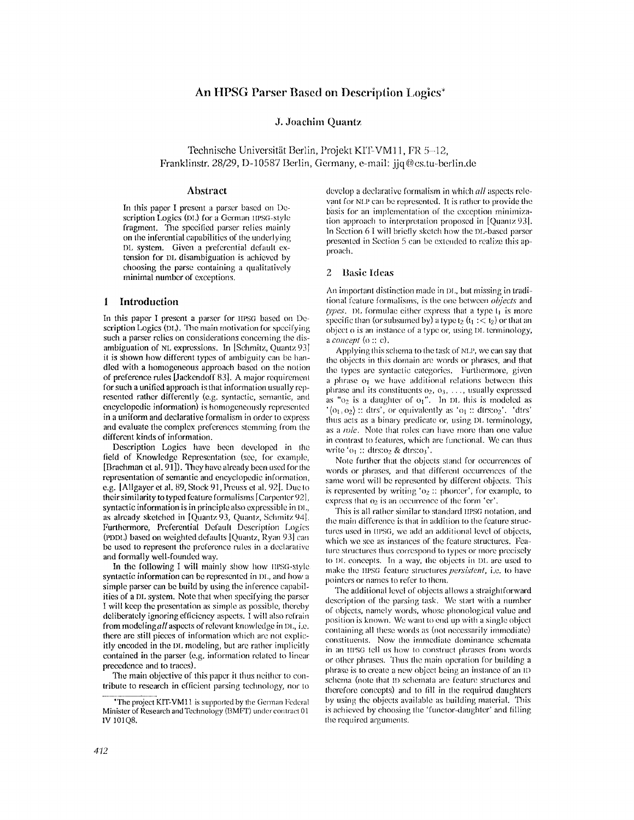# An HPSG Parser Based on Description Logics\*

#### J. Joachim Quantz

Technische Universität Berlin, Projekt KIT-VM11, FR 5–12. Franklinstr. 28/29, D-10587 Berlin, Germany, e-mail: jjq@cs.tu-berlin.de

#### Abstract

In this paper I present a parser based on Description Logics (DL) for a German IIPSG-style fragment. The specified parser relies mainly on the inferential capabilities of the underlying DL system. Given a preferential default extension for DL disambiguation is achieved by choosing the parse containing a qualitatively minimal number of exceptions.

# 1 Introduction

In this paper I present a parser for HPSG based on Description Logics (DL). The main motivation for specifying such a parser relies on considerations concerning the disambiguation of NL expressions. In [Schmitz, Quantz 93] it is shown how different types of ambiguity can be handled with a homogeneous approach based on the notion of preference rules [Jackendoff 83]. A major requirement for such a unified approach is that information usually represented rather differently (e.g. syntactic, semantic, and encyclopedic information) is homogeneously represented in a uniform and declarative formalism in order to express and evaluate the complex preferences stemming from the different kinds of information.

Description Logics have been developed in the field of Knowledge Representation (see, for example, [Brachman et al. 91]). They have already been used for the representation of semantic and encyclopedic information, e.g. [Allgayer et al. 89, Stock 91, Preuss et al. 92]. Due to their similarity to typed feature formalisms [Carpenter 92], syntactic information is in principle also expressible in DL, as already sketched in [Quantz 93, Quantz, Schmitz 94]. Furthermore, Preferential Default Description Logics (PDDL) based on weighted defaults [Quantz, Ryan 93] can be used to represent the preference rules in a declarative and formally well-founded way.

In the following I will mainly show how HPSG-style syntactic information can be represented in DL, and how a simple parser can be build by using the inference capabilities of a DL system. Note that when specifying the parser I will keep the presentation as simple as possible, thereby deliberately ignoring efficiency aspects. I will also refrain from modeling all aspects of relevant knowledge in DL, i.e. there are still pieces of information which are not explicitly encoded in the DL modeling, but are rather implicitly contained in the parser (e.g. information related to linear precedence and to traces).

The main objective of this paper it thus neither to contribute to research in efficient parsing technology, nor to develop a declarative formalism in which all aspects relevant for NLP can be represented. It is rather to provide the basis for an implementation of the exception minimization approach to interpretation proposed in [Quantz 93]. In Section 6.1 will briefly sketch how the DL-based parser presented in Section 5 can be extended to realize this approach.

#### 2 Basic Ideas

An important distinction made in DL, but missing in traditional feature formalisms, is the one between objects and types. DL formulae either express that a type  $t_1$  is more specific than (or subsumed by) a type  $t_2$  ( $t_1$  : <  $t_2$ ) or that an object o is an instance of a type or, using DL terminology, a concept  $(o:: c)$ .

Applying this schema to the task of NLP, we can say that the objects in this domain are words or phrases, and that the types are syntactic categories. Furthermore, given a phrase of we have additional relations between this phrase and its constituents  $o_2$ ,  $o_3$ , ..., usually expressed as " $o_2$  is a daughter of  $o_1$ ". In DL this is modeled as  $\langle o_1, o_2 \rangle$ : dtrs', or equivalently as  $\langle o_1$ : dtrs: $o_2$ '. 'dtrs' thus acts as a binary predicate or, using DL terminology, as a *role*. Note that roles can have more than one value in contrast to features, which are functional. We can thus write ' $o_1$ :: dtrs: $o_2$  & dtrs: $o_3$ '.

Note further that the objects stand for occurrences of words or phrases, and that different occurrences of the same word will be represented by different objects. This is represented by writing ' $o_2$ : phon:er', for example, to express that o<sub>2</sub> is an occurrence of the form 'er'.

This is all rather similar to standard IIPSG notation, and the main difference is that in addition to the feature structures used in IIPSG, we add an additional level of objects, which we see as instances of the feature structures. Feature structures thus correspond to types or more precisely to DL concepts. In a way, the objects in DL are used to make the HPSG feature structures *persistent*, i.e. to have pointers or names to refer to them.

The additional level of objects allows a straightforward description of the parsing task. We start with a number of objects, namely words, whose phonological value and position is known. We want to end up with a single object containing all these words as (not necessarily immediate) constituents. Now the immediate dominance schemata in an HPSG tell us how to construct phrases from words or other phrases. Thus the main operation for building a phrase is to create a new object being an instance of an ID schema (note that ID schemata are feature structures and therefore concepts) and to fill in the required daughters by using the objects available as building material. This is achieved by choosing the 'functor-daughter' and filling the required arguments.

<sup>\*</sup>The project KIT-VM11 is supported by the German Federal Minister of Research and Technology (BMFT) under contract 01 IV 10108.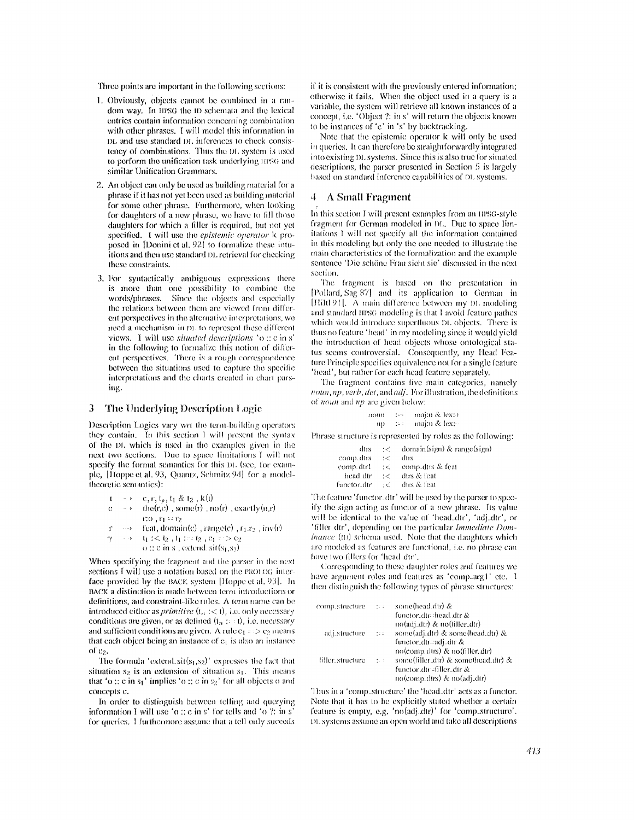Three points are important in the following sections:

- 1. Obviously, objects cannot be combined in a random way. In IIPSG the ID schemata and the lexical entries contain information concerning combination with other phrases. I will model this information in DL and use standard DL inferences to check consistency of combinations. Thus the DL system is used to perform the unification task underlying tIPSG and similar Unification Grammars.
- 2. An object can only be used as building material for a phrase if it has not yet been used as building material for some other phrase. Furthermore, when looking for daughters of a new phrase, we have to fill those daughters for which a filler is required, but not yet specified. I will use the epistemic operator k proposed in [Donini et al. 92] to formalize these intuitions and then use standard DL retrieval for checking these constraints.
- 3. For syntactically ambiguous expressions there is more than one possibility to combine the words/phrases. Since the objects and especially the relations between them are viewed from different perspectives in the alternative interpretations, we need a mechanism in DL to represent these different views. I will use *situated descriptions* 'o:: c in s' in the following to formalize this notion of different perspectives. There is a rough correspondence between the situations used to capture the specific interpretations and the charts created in chart parsing.

#### $\mathbf{3}$ The Underlying Description Logic

Description Logics vary wrt the term-building operators they contain. In this section I will present the syntax of the DL which is used in the examples given in the next two sections. Due to space limitations I will not specify the formal semantics for this DL (see, for example, [Hoppe et al. 93, Quantz, Schmitz 94] for a modeltheoretic semantics):

- $\rightarrow$  c, r, t<sub>p</sub>, t<sub>1</sub> & t<sub>2</sub>, k(t)  $t$
- the(r,c), some(r), no(r), exactly(n,r)  $\mathbf{c}$  $\sim$   $\rightarrow$  $r_1 o_1 r_1 = r_2$
- $\rightarrow$  feat, domain(c), range(c),  $r_1.r_2$ , inv(r)  $\mathbf{r}$
- $\gamma$  $\rightarrow$   $t_1$  : <  $t_2$  ,  $t_1$  :  $t_2$  ,  $c_1$  :  $>c_2$

o :: c in s, extend. sit( $s_1$ , $s_2$ )

When specifying the fragment and the parser in the next sections I will use a notation based on the PROLOG interface provided by the BACK system [Hoppe et al. 93]. In BACK a distinction is made between term introductions or definitions, and constraint-like rules. A term name can be introduced either as *primitive*  $(t_n : < t)$ , i.e. only necessary conditions are given, or as defined  $(t_n : \cdot : t)$ , i.e. necessary and sufficient conditions are given. A rule  $c_1$  =  $>c_2$  means that each object being an instance of  $c_1$  is also an instance of  $c_2$ .

The formula 'extend  $\text{sit}(s_1, s_2)$ ' expresses the fact that situation s<sub>2</sub> is an extension of situation s<sub>1</sub>. This means that 'o:: c in  $s_1$ ' implies 'o:: c in  $s_2$ ' for all objects o and concepts c.

In order to distinguish between telling and querying information I will use 'o :: c in s' for tells and 'o ?: in s' for queries. I furthermore assume that a tell only succeds

if it is consistent with the previously entered information; otherwise it fails. When the object used in a query is a variable, the system will retrieve all known instances of a concept, i.e. 'Object ?: in s' will return the objects known to be instances of 'c' in 's' by backtracking.

Note that the epistemic operator k will only be used in queries. It can therefore be straightforwardly integrated into existing DL systems. Since this is also true for situated descriptions, the parser presented in Section 5 is largely based on standard inference capabilities of DL systems.

## 4 A Small Fragment

In this section I will present examples from an IIPSG-style fragment for German modeled in DL. Due to space limitations I will not specify all the information contained in this modeling but only the one needed to illustrate the main characteristics of the formalization and the example sentence 'Die schöne Frau sieht sie' discussed in the next section.

The fragment is based on the presentation in [Pollard Sag 87] and its application to German in [Hiltl 91]. A main difference between my DL modeling and standard IIPSG modeling is that I avoid feature pathes which would introduce superfluous DL objects. There is thus no feature 'head' in my modeling since it would yield the introduction of head objects whose ontological status seems controversial. Consequently, my Head Feature Principle specifies equivalence not for a single feature 'head', but rather for each head feature separately.

The fragment contains five main categories, namely noun, np, verb, det, and adj. For illustration, the definitions of noun and np are given below:

| пошт | tart. | majin & lexi+ |
|------|-------|---------------|
| то   | ti i  | majin & lex   |

Phrase structure is represented by roles as the following:

| dtrs        | うくし           | domain(sign) & range(sign) |
|-------------|---------------|----------------------------|
| comp.dtrs   | $\mathcal{C}$ | dtrs                       |
| comp.dtrl   |               | $\div$ comp_dtrs & feat    |
| head dtr    | $\epsilon$    | dtrs & feat                |
| functor-dtr | ユビー           | dirs & feat                |

The feature 'functor.dtr' will be used by the parser to specify the sign acting as functor of a new phrase. Its value will be identical to the value of 'head.dtr', 'adj.dtr', or 'filler.dtr', depending on the particular Immediate Dom*inance* (ID) schema used. Note that the daughters which are modeled as features are functional, i.e. no phrase can have two fillers for 'head dtr'.

Corresponding to these daughter roles and features we have argument roles and features as 'complarg1' etc. I then distinguish the following types of phrase structures:

| comp.structure         | 一致する   | some(head.dtr) &                                                                            |
|------------------------|--------|---------------------------------------------------------------------------------------------|
|                        |        | functor.dir=head.dir &                                                                      |
|                        |        | no(adj_dtr) & no(filler_dtr)                                                                |
| adj.structure $\cdots$ |        | some $(\text{adj.} \text{d} \text{tr}) \& \text{some} (\text{head.} \text{d} \text{tr}) \&$ |
|                        |        | functor_dtr=adjdtr &                                                                        |
|                        |        | no(comp.dtrs) & no(filler.dtr)                                                              |
| filler.structure       | $-1.1$ | some(filler_dtr) & some(head_dtr) &                                                         |
|                        |        | functordtr=filler_dtr &                                                                     |
|                        |        | no(comp.dtrs) & no(adj.dtr)                                                                 |

Thus in a 'comp\_structure' the 'head\_dtr' acts as a functor. Note that it has to be explicitly stated whether a certain feature is empty, e.g. 'no(adj.dtr)' for 'comp.structure'. DL systems assume an open world and take all descriptions.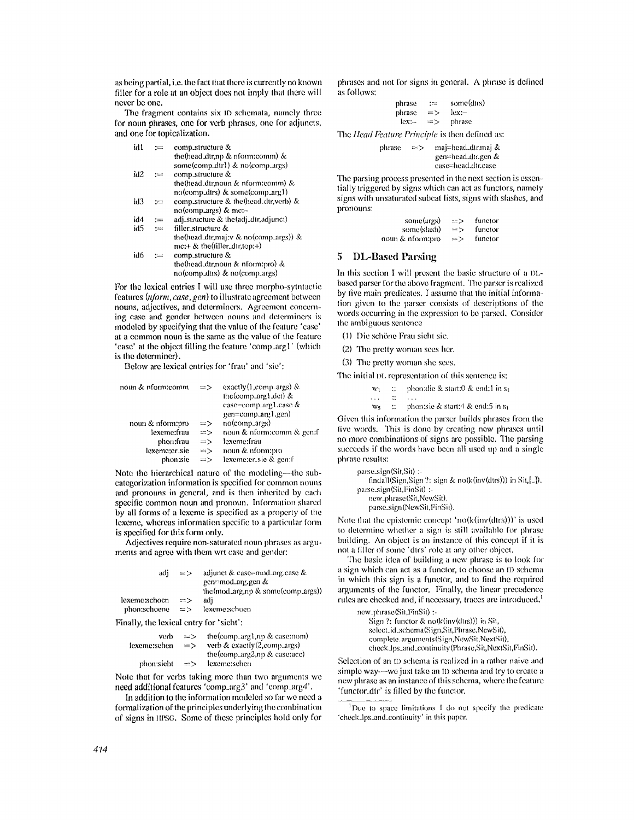as being partial, i.e. the fact that there is currently no known filler for a role at an object does not imply that there will never be **one.** 

The fragment contains six ID schemata, namely three for noun phrases, one for verb phrases, one for adjuncts, **and one** for topicalization.

| id1 | ∷≔   | comp_structure &                                 |
|-----|------|--------------------------------------------------|
|     |      | the (head $\dim p \& \dim$ comm) &               |
|     |      | some(comp.dtr1) & no(comp.args)                  |
| id2 | $:=$ | comp.structure &                                 |
|     |      | the (head $\Delta$ dtr, noun & nform: comm) &    |
|     |      | no(comp.dtrs) & some(comp.arg1)                  |
| id3 |      | comp_structure & the(head_dtr,verb) &            |
|     |      | no(comp_args) & mc:-                             |
| id4 | ∶≕   | adj.structure & the(adj.dtr,adjunct)             |
| id5 | $:=$ | filler structure &                               |
|     |      | the (head dir, maj: $\n  x$ no (comp args)) $\&$ |
|     |      | $mc++$ & the (filler_dir, top:+)                 |
| id6 | :≔   | comp_structure &                                 |
|     |      | the (head_dtr, noun & nform: pro) $\&$           |
|     |      | no(comp.dtrs) & no(comp.args)                    |

For the lexical entries I will use three morpho-sytntactic features (nform, case, gen) to illustrate agreement between nouns, adjectives, and determiners. Agreement concerning case and gender between nouns and determiners is modeled by specifying that the value of the feature 'case' at a common noun is the same as the value of the feature 'ease' at the object filing the feature 'eomp\_argl' (which is the determiner).

Below are lexical entries for 'frau' and 'sic':

| noun & nform:comm | $\Rightarrow$ | exactly $(1, comp \_args)$ & |
|-------------------|---------------|------------------------------|
|                   |               | the (comparg1, det) $&$      |
|                   |               | $case = comp_arg1.case \&$   |
|                   |               | gen=comp_arg1.gen)           |
| noun & nform:pro  | $\Rightarrow$ | no(comp_args)                |
| lexeme:frau       | $\Rightarrow$ | noun & nform:comm & gen:f    |
| phon:frau         | $\Rightarrow$ | lexeme:frau                  |
| lexeme:er_sie     | $\Rightarrow$ | noun & nform:pro             |
| phon:sie          | $\Rightarrow$ | lexeme:er_sie & gen:f        |
|                   |               |                              |

Note the hierarchical nature of the modeling--the subcategorization information is specified for common nouns **and** pronouns in general, and is then inherited by each specific common noun and pronoun. Information shared by all forms of a lexeme is specified as a property of Ihe lexeme, whereas information specific to a particular form is specified for this form only.

Adjectives require non-saturated noun phrases as arguments and agree with them wrt case and gender:

| adi                                     | $\Rightarrow$ | adjunct & case=mod.arg.case &<br>gen=mod_arg.gen &         |  |  |
|-----------------------------------------|---------------|------------------------------------------------------------|--|--|
|                                         |               | the $(mod_{\text{arg,np}} \&$ some $(comp_{\text{arg,2}})$ |  |  |
| lexeme:schoen                           | $\Rightarrow$ | adi                                                        |  |  |
| phon:schoene                            | $\Rightarrow$ | lexeme:schoen                                              |  |  |
| Finally, the lexical entry for 'sieht': |               |                                                            |  |  |

| verb<br>lexeme:sehen | $\Rightarrow$<br>$=$ $>$ | the (comp. arg $1$ , np & case: nom)<br>verb $& exactly(2, comp.args)$<br>the (comp_arg2,np $\&$ case: acc) |
|----------------------|--------------------------|-------------------------------------------------------------------------------------------------------------|
| phon:sieht           | $\Rightarrow$            | lexeme:sehen                                                                                                |

Note that for verbs taking more than two arguments we need addilional features 'comp\_arg3' and 'comp\_arg4'.

In addition to the information modeled so far we need a formalization of the principles underlying the combination of signs in flING. Some of these principles hold only for

phrases and not for signs in general. A phrase is defined as follows:

| phrase | :==           | some(dtrs) |
|--------|---------------|------------|
| phrase | $\Rightarrow$ | lex:—      |
| lex:-- | ニゝ            | phrase     |

The *Ilead Feature Principle* is then defined as:

phrase  $\Rightarrow$  maj=head\_dtr.maj & gen=head~ht:gen & case=head.dtr.case

The parsing process presented in the next section is essentially triggered by signs which can act as functors, namely signs with unsaturated subcat lists, signs with slashes, and **pronouns:** 

| some(args)       | $\Rightarrow$ | functor |
|------------------|---------------|---------|
| some(slash)      | $\Rightarrow$ | functor |
| noun & nform:pro | $\Rightarrow$ | functor |

# 5 I)L-Based Parsing

In this section I will present the basic structure of a DLbased parser for the above fragment. The parser is realized by five main predicates. I assume that the initial information given to the parser consists of descriptions of the words occurring in the expression to be parsed. Consider the ambiguous sentence

(1) Die schöne Frau sieht sie.

(2) The pretty woman sees her.

(3) The pretty woman she sees.

The initial DL representation of this sentence is:

- $w_1$  :: phon:die & start:0 & end:1 in s<sub>1</sub>  $\mathcal{L}$  $\mathbf{1}$
- $w_5$  :: phon:sle & start:4 & end:5 in s<sub>1</sub>

Given this information the parser builds phrases from the five words. This is done by creating new phrases until no more combinations of signs are possible. The parsing succeeds if the words have been all used up **and** a single phrase results:

| $parse.size(n(Sit, Sit)$ :                                |  |
|-----------------------------------------------------------|--|
| findall(Sign, Sign ?: sign & no(k(inv(dtrs))) in Sit,[]), |  |
| $parse\_sign(Sit, FinSi)$ :                               |  |
| new_phrase(Sit,NewSit),                                   |  |

parse\_sign (NewSit,FinSit).

Note that the epistemic concept 'no( $k$ (inv(dtrs)))' is used to determine whether a sign is still available for phrase building. An object is an instance of this concept if it is not a filler of some 'dtrs' role at any other object.

The basic idea of building a new phrase is to look for a sign which can act as a funelor, to choose an ID schema in which this sign is a functor, and to find the required arguments of the functor. Finally, the linear precedence rules are checked and, if necessary, traces are introduced. 1

| new_phrase(Sit,FinSit) :- |                                                     |
|---------------------------|-----------------------------------------------------|
|                           | Sign ?: functor $\&$ no( $k$ (inv(dtrs))) in Sit,   |
|                           | select.id.schema(Sign,Sit,Phrase,NewSit),           |
|                           | complete_arguments(Sign, NewSit, NextSit),          |
|                           | check Jps_and_continuity(Phrase,Sit,NextSit,FinSit) |

Selection of an ID schema is realized in a rather naive and simple way---we just take an ID schema and try to create a new phrase as an instance of this schema, where the feature 'functor\_dtr' is filled by the functor.

<sup>&</sup>lt;sup>1</sup>Due to space limitations I do not specify the predicate 'check.lps..and.continuity' in this paper.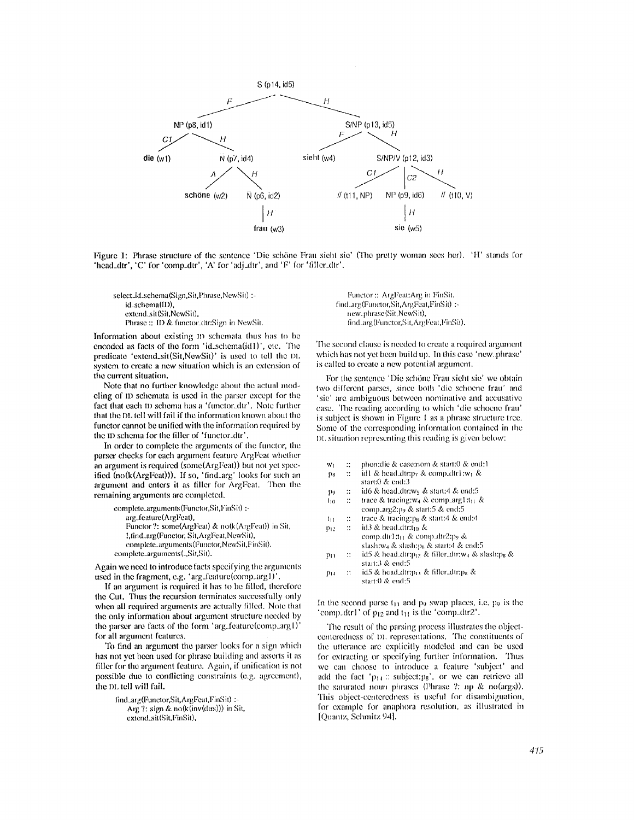

Figure 1: Phrase structure of the sentence 'Die schöne Frau sieht sic' (The pretty woman sees her). 'H' stands for 'head\_dtr', 'C' for 'comp\_dtr', 'A' for 'adj\_dtr', and 'F' for 'filler\_dtr'.

select\_id\_schema(Sign,Sit,Phrase,NewSit) : id\_schema(ID), extend\_sit(Sit,NewSit), Phrase :: ID & functor\_dtr:Sign in NewSit.

Information about existing ID schemata thus has to be encoded as facts of the form 'id\_schema(id1)', etc. The predicate 'extend\_sit(Sit,NewSit)' is used to tell the DL system to create a new situation which is an extension of the current situation.

Note that no further knowledge about the actual modcling of ID schemata is used in the parser except for the fact that each ID schema has a 'funclor\_dtr'. Note furlher that the DL tell will fail if the information known about the functor cannot be unified with the information required by the ID schema for the filler of 'functor.dtr'.

In order to complete the arguments of the functor, the parser checks for each argument feature ArgFeat whether an argument is required (somc(ArgFeat)) but not yet specified  $(no(k(ArgFea)))$ . If so, 'find\_arg' looks for such an argument and enters it as filler for ArgFeat. Then the remaining arguments are completed.

complete.arguments (Functor, Sit, FinSit) :arg\_feature (AtgFeat), Functor ?: some(ArgFeat) & no(k(ArgFeal)) in Sil, **!,tind\_mg(Functoe;** Sit,ArgFeal,NewSil), complete\_arguments(Functor,NewSit,FinSit). complete\_arguments (\_,Sit,Sit).

Again we need to introduce facts specifying the arguments used in the fragment, e.g. 'arg\_feature(comp\_arg1)'.

If an argument is required it has to be filled, therefore the Cut. Thus the recursion terminates successfully only when all required arguments are actually filled. Note that the only information about argument structure needed by the parser are facts of the form 'arg\_feature(comp\_arg1)' for all argument features.

To find an argument the parser looks for a sign which has not yet been used for phrase building and asserts it as filler for the argument feature. Again, if unification is not possible due to conflicting constraints (e.g. agreemenl), the DL tell will fail.

find\_arg(Functor, Sit, ArgFeat, FinSit) :-Arg ?: sign & no(k(inv(dtrs))) in Sit, extend\_sit(Sit,FinSit),

Functor :: ArgFeat:Arg in FinSit. *tind\_arg(Funclot;Sil,Argl:eat,FinSit) :..*  new.phrase(Sit,NewSit),  $find_4rg(Functor,Sit,ArgFeat,FinSit).$ 

The second clause is needed to create a required argument which has not yet been build up. In this case 'new. phrase' is called to create a new potential argument.

For the sentence 'Die schöne Frau sieht sie' we obtain two different parses, since bolh 'die schoene frau' and 'sie' are ambiguous between nominative and accusative ease. The reading according to which 'die schoene frau' is subject is shown in Figure 1 as a phrase structure tree. Some of the corresponding information contained in the I)I. situation represenling this reading is given below:

| w١ |  |  | phonidle & case;nom & start:0 & end:1 |  |  |  |
|----|--|--|---------------------------------------|--|--|--|
|----|--|--|---------------------------------------|--|--|--|

- $p_8$  :: idl & head\_dtr:p7 & comp\_dtrl:w<sub>1</sub> &
- start:0 & end:3
- $p_9$  :: id6 & head\_dtr:w<sub>5</sub> & start:4 & end:5  $I_{10}$  :: trace & tracing:w<sub>4</sub> & comp\_arg1:t<sub>11</sub> &
- comp.arg2:p, & start:5 & end:5
- $t_{11}$  :: trace & tracing:p<sub>8</sub> & start:4 & end:4
- $p_{12}$  :: id3 & head dtr:t<sub>10</sub> & comp.dir1;t<sub>11</sub> & comp.dtr2:p<sub>9</sub> &
- slash:w<sub>4</sub> & slash:p<sub>8</sub> & start:4 & end:5  $p_{13}$  :: id5 & head dtr: $p_{12}$  & filler\_dtr:w4 & slash: $p_8$  &
- start:3 & end:5  $p_{14}$  :: id5 & head\_dtr:p<sub>B</sub> & filler\_dtr:p<sub>8</sub> &
	- start:0 & end:5

In the second parse  $t_{11}$  and  $p_9$  swap places, i.e.  $p_9$  is the 'comp..dtrl' of  $p_{12}$  and  $t_{11}$  is the 'comp..dtr2'.

The result of the parsing process illustrates the objectcenteredness of DL representations. The constituents of the utterance are explicitly modeled and can be used for extracting or specifying further information. Thus we can choose to introduce at feature 'subject' and add the fact ' $p_{14}$ : subject:ps', or we can retrieve all the saturated noun phrases (Phrase ?: np & no(args)). This object-centeredness is useful for disambiguation, for example for anaphora resolution, as illustrated in [Quantz, Schmitz 941.